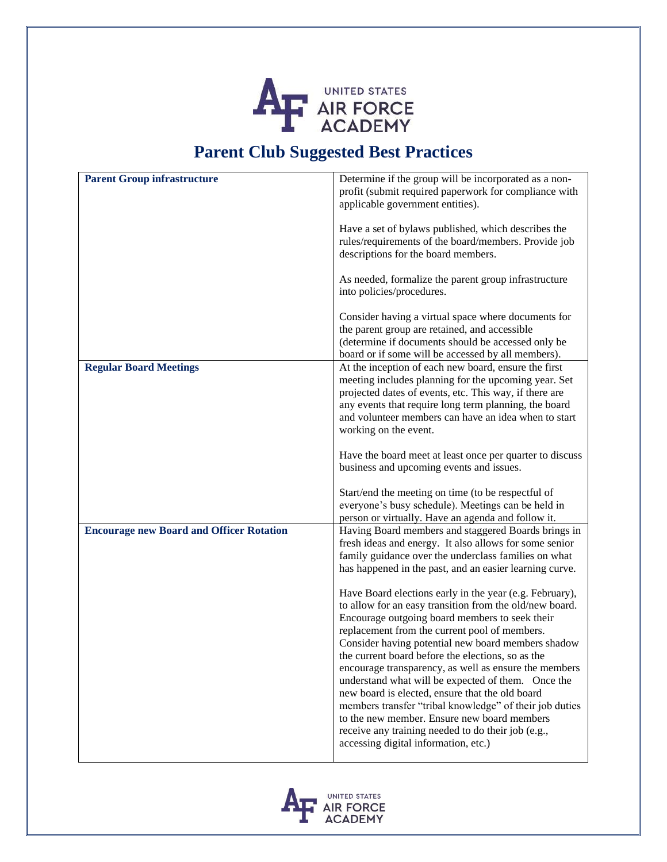

## **Parent Club Suggested Best Practices**

| <b>Parent Group infrastructure</b>              | Determine if the group will be incorporated as a non-<br>profit (submit required paperwork for compliance with<br>applicable government entities).                                                                                                                                                                                                                                                                                                                                                                                                                                                                                                                                                         |
|-------------------------------------------------|------------------------------------------------------------------------------------------------------------------------------------------------------------------------------------------------------------------------------------------------------------------------------------------------------------------------------------------------------------------------------------------------------------------------------------------------------------------------------------------------------------------------------------------------------------------------------------------------------------------------------------------------------------------------------------------------------------|
|                                                 | Have a set of bylaws published, which describes the<br>rules/requirements of the board/members. Provide job<br>descriptions for the board members.                                                                                                                                                                                                                                                                                                                                                                                                                                                                                                                                                         |
|                                                 | As needed, formalize the parent group infrastructure<br>into policies/procedures.                                                                                                                                                                                                                                                                                                                                                                                                                                                                                                                                                                                                                          |
|                                                 | Consider having a virtual space where documents for<br>the parent group are retained, and accessible<br>(determine if documents should be accessed only be<br>board or if some will be accessed by all members).                                                                                                                                                                                                                                                                                                                                                                                                                                                                                           |
| <b>Regular Board Meetings</b>                   | At the inception of each new board, ensure the first<br>meeting includes planning for the upcoming year. Set<br>projected dates of events, etc. This way, if there are<br>any events that require long term planning, the board<br>and volunteer members can have an idea when to start<br>working on the event.                                                                                                                                                                                                                                                                                                                                                                                           |
|                                                 | Have the board meet at least once per quarter to discuss<br>business and upcoming events and issues.                                                                                                                                                                                                                                                                                                                                                                                                                                                                                                                                                                                                       |
|                                                 | Start/end the meeting on time (to be respectful of<br>everyone's busy schedule). Meetings can be held in<br>person or virtually. Have an agenda and follow it.                                                                                                                                                                                                                                                                                                                                                                                                                                                                                                                                             |
| <b>Encourage new Board and Officer Rotation</b> | Having Board members and staggered Boards brings in<br>fresh ideas and energy. It also allows for some senior<br>family guidance over the underclass families on what<br>has happened in the past, and an easier learning curve.                                                                                                                                                                                                                                                                                                                                                                                                                                                                           |
|                                                 | Have Board elections early in the year (e.g. February),<br>to allow for an easy transition from the old/new board.<br>Encourage outgoing board members to seek their<br>replacement from the current pool of members.<br>Consider having potential new board members shadow<br>the current board before the elections, so as the<br>encourage transparency, as well as ensure the members<br>understand what will be expected of them. Once the<br>new board is elected, ensure that the old board<br>members transfer "tribal knowledge" of their job duties<br>to the new member. Ensure new board members<br>receive any training needed to do their job (e.g.,<br>accessing digital information, etc.) |

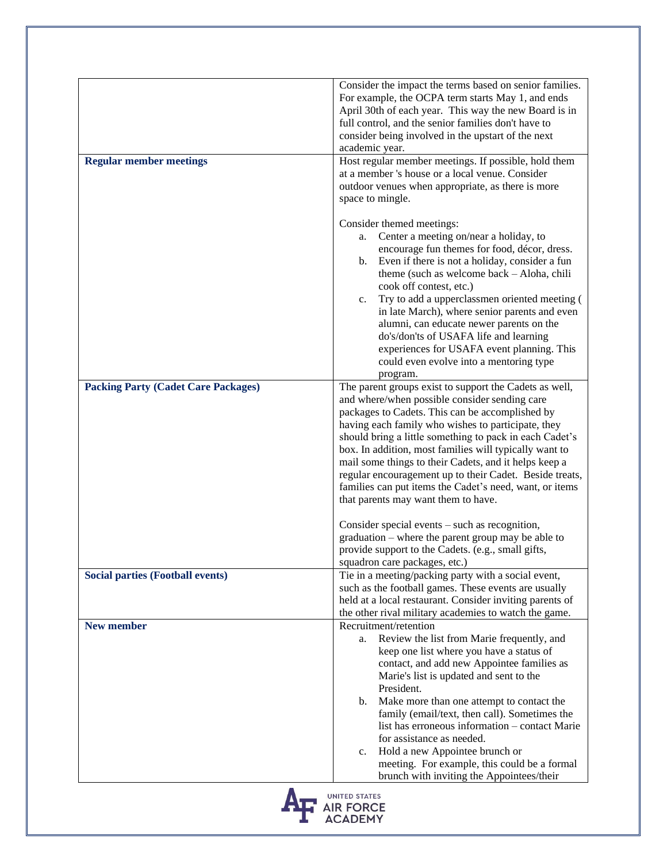|                                            | Consider the impact the terms based on senior families.<br>For example, the OCPA term starts May 1, and ends<br>April 30th of each year. This way the new Board is in<br>full control, and the senior families don't have to<br>consider being involved in the upstart of the next<br>academic year.                                                                                                                                                                                                                                                                   |
|--------------------------------------------|------------------------------------------------------------------------------------------------------------------------------------------------------------------------------------------------------------------------------------------------------------------------------------------------------------------------------------------------------------------------------------------------------------------------------------------------------------------------------------------------------------------------------------------------------------------------|
| <b>Regular member meetings</b>             | Host regular member meetings. If possible, hold them<br>at a member 's house or a local venue. Consider<br>outdoor venues when appropriate, as there is more<br>space to mingle.                                                                                                                                                                                                                                                                                                                                                                                       |
|                                            | Consider themed meetings:<br>Center a meeting on/near a holiday, to<br>a.<br>encourage fun themes for food, décor, dress.<br>Even if there is not a holiday, consider a fun<br>b.<br>theme (such as welcome back – Aloha, chili<br>cook off contest, etc.)<br>Try to add a upperclassmen oriented meeting (<br>$c_{\cdot}$<br>in late March), where senior parents and even<br>alumni, can educate newer parents on the<br>do's/don'ts of USAFA life and learning<br>experiences for USAFA event planning. This<br>could even evolve into a mentoring type<br>program. |
| <b>Packing Party (Cadet Care Packages)</b> | The parent groups exist to support the Cadets as well,<br>and where/when possible consider sending care                                                                                                                                                                                                                                                                                                                                                                                                                                                                |
|                                            | packages to Cadets. This can be accomplished by<br>having each family who wishes to participate, they<br>should bring a little something to pack in each Cadet's<br>box. In addition, most families will typically want to<br>mail some things to their Cadets, and it helps keep a<br>regular encouragement up to their Cadet. Beside treats,<br>families can put items the Cadet's need, want, or items<br>that parents may want them to have.                                                                                                                       |
|                                            | Consider special events $-$ such as recognition,<br>graduation – where the parent group may be able to<br>provide support to the Cadets. (e.g., small gifts,<br>squadron care packages, etc.)                                                                                                                                                                                                                                                                                                                                                                          |
| <b>Social parties (Football events)</b>    | Tie in a meeting/packing party with a social event,<br>such as the football games. These events are usually<br>held at a local restaurant. Consider inviting parents of<br>the other rival military academies to watch the game.                                                                                                                                                                                                                                                                                                                                       |
| <b>New member</b>                          | Recruitment/retention<br>Review the list from Marie frequently, and<br>a.<br>keep one list where you have a status of<br>contact, and add new Appointee families as<br>Marie's list is updated and sent to the<br>President.<br>Make more than one attempt to contact the<br>b.<br>family (email/text, then call). Sometimes the<br>list has erroneous information - contact Marie<br>for assistance as needed.<br>Hold a new Appointee brunch or<br>c.<br>meeting. For example, this could be a formal<br>brunch with inviting the Appointees/their                   |
|                                            | UNITED STATES<br><b>AIR FORCE</b><br><b>ACADEMY</b>                                                                                                                                                                                                                                                                                                                                                                                                                                                                                                                    |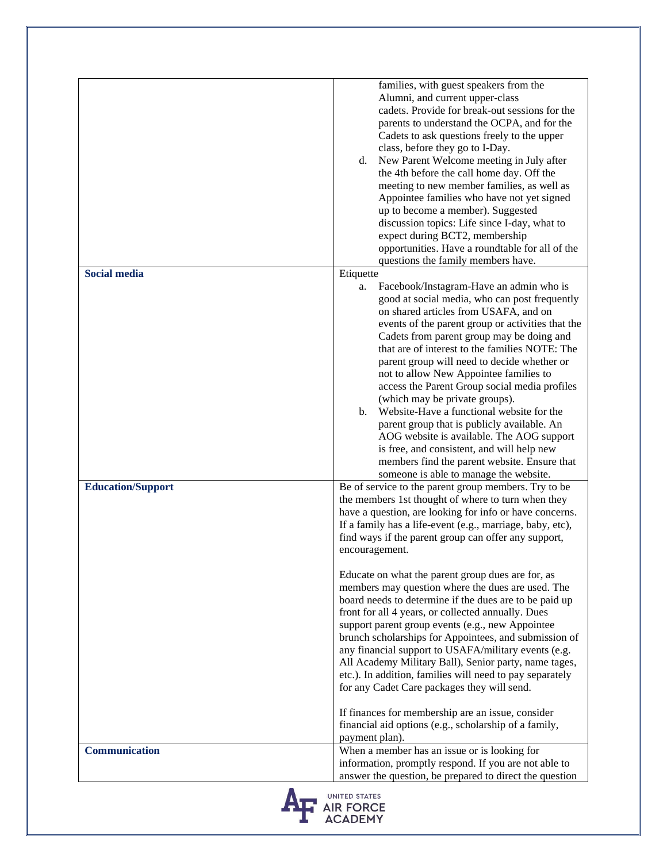|                          | families, with guest speakers from the<br>Alumni, and current upper-class<br>cadets. Provide for break-out sessions for the<br>parents to understand the OCPA, and for the<br>Cadets to ask questions freely to the upper<br>class, before they go to I-Day.<br>New Parent Welcome meeting in July after<br>d.<br>the 4th before the call home day. Off the<br>meeting to new member families, as well as<br>Appointee families who have not yet signed<br>up to become a member). Suggested<br>discussion topics: Life since I-day, what to<br>expect during BCT2, membership<br>opportunities. Have a roundtable for all of the<br>questions the family members have.                                                                                                                                                                                                                                                                                 |
|--------------------------|---------------------------------------------------------------------------------------------------------------------------------------------------------------------------------------------------------------------------------------------------------------------------------------------------------------------------------------------------------------------------------------------------------------------------------------------------------------------------------------------------------------------------------------------------------------------------------------------------------------------------------------------------------------------------------------------------------------------------------------------------------------------------------------------------------------------------------------------------------------------------------------------------------------------------------------------------------|
| <b>Social media</b>      | Etiquette                                                                                                                                                                                                                                                                                                                                                                                                                                                                                                                                                                                                                                                                                                                                                                                                                                                                                                                                               |
|                          | Facebook/Instagram-Have an admin who is<br>a.<br>good at social media, who can post frequently<br>on shared articles from USAFA, and on<br>events of the parent group or activities that the<br>Cadets from parent group may be doing and<br>that are of interest to the families NOTE: The<br>parent group will need to decide whether or<br>not to allow New Appointee families to<br>access the Parent Group social media profiles<br>(which may be private groups).<br>Website-Have a functional website for the<br>$\mathbf{b}$ .<br>parent group that is publicly available. An<br>AOG website is available. The AOG support<br>is free, and consistent, and will help new<br>members find the parent website. Ensure that<br>someone is able to manage the website.                                                                                                                                                                              |
| <b>Education/Support</b> | Be of service to the parent group members. Try to be                                                                                                                                                                                                                                                                                                                                                                                                                                                                                                                                                                                                                                                                                                                                                                                                                                                                                                    |
|                          | the members 1st thought of where to turn when they<br>have a question, are looking for info or have concerns.<br>If a family has a life-event (e.g., marriage, baby, etc),<br>find ways if the parent group can offer any support,<br>encouragement.<br>Educate on what the parent group dues are for, as<br>members may question where the dues are used. The<br>board needs to determine if the dues are to be paid up<br>front for all 4 years, or collected annually. Dues<br>support parent group events (e.g., new Appointee<br>brunch scholarships for Appointees, and submission of<br>any financial support to USAFA/military events (e.g.<br>All Academy Military Ball), Senior party, name tages,<br>etc.). In addition, families will need to pay separately<br>for any Cadet Care packages they will send.<br>If finances for membership are an issue, consider<br>financial aid options (e.g., scholarship of a family,<br>payment plan). |
| Communication            | When a member has an issue or is looking for                                                                                                                                                                                                                                                                                                                                                                                                                                                                                                                                                                                                                                                                                                                                                                                                                                                                                                            |
|                          | information, promptly respond. If you are not able to<br>answer the question, be prepared to direct the question                                                                                                                                                                                                                                                                                                                                                                                                                                                                                                                                                                                                                                                                                                                                                                                                                                        |
|                          | <b>UNITED STATES</b>                                                                                                                                                                                                                                                                                                                                                                                                                                                                                                                                                                                                                                                                                                                                                                                                                                                                                                                                    |